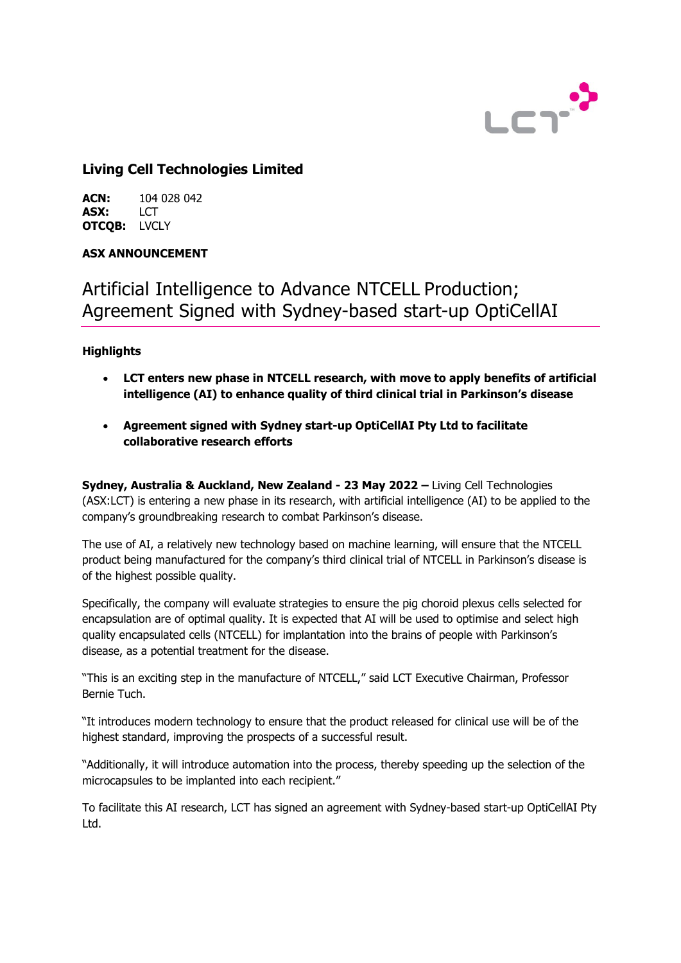

## **Living Cell Technologies Limited**

**ACN:** 104 028 042<br>**ASX:** LCT **ASX:** LCT **OTCQB:** LVCLY

## **ASX ANNOUNCEMENT**

# Artificial Intelligence to Advance NTCELL Production; Agreement Signed with Sydney-based start-up OptiCellAI

## **Highlights**

- **LCT enters new phase in NTCELL research, with move to apply benefits of artificial intelligence (AI) to enhance quality of third clinical trial in Parkinson's disease**
- **Agreement signed with Sydney start-up OptiCellAI Pty Ltd to facilitate collaborative research efforts**

**Sydney, Australia & Auckland, New Zealand - 23 May 2022 –** Living Cell Technologies (ASX:LCT) is entering a new phase in its research, with artificial intelligence (AI) to be applied to the company's groundbreaking research to combat Parkinson's disease.

The use of AI, a relatively new technology based on machine learning, will ensure that the NTCELL product being manufactured for the company's third clinical trial of NTCELL in Parkinson's disease is of the highest possible quality.

Specifically, the company will evaluate strategies to ensure the pig choroid plexus cells selected for encapsulation are of optimal quality. It is expected that AI will be used to optimise and select high quality encapsulated cells (NTCELL) for implantation into the brains of people with Parkinson's disease, as a potential treatment for the disease.

"This is an exciting step in the manufacture of NTCELL," said LCT Executive Chairman, Professor Bernie Tuch.

"It introduces modern technology to ensure that the product released for clinical use will be of the highest standard, improving the prospects of a successful result.

"Additionally, it will introduce automation into the process, thereby speeding up the selection of the microcapsules to be implanted into each recipient."

To facilitate this AI research, LCT has signed an agreement with Sydney-based start-up OptiCellAI Pty Ltd.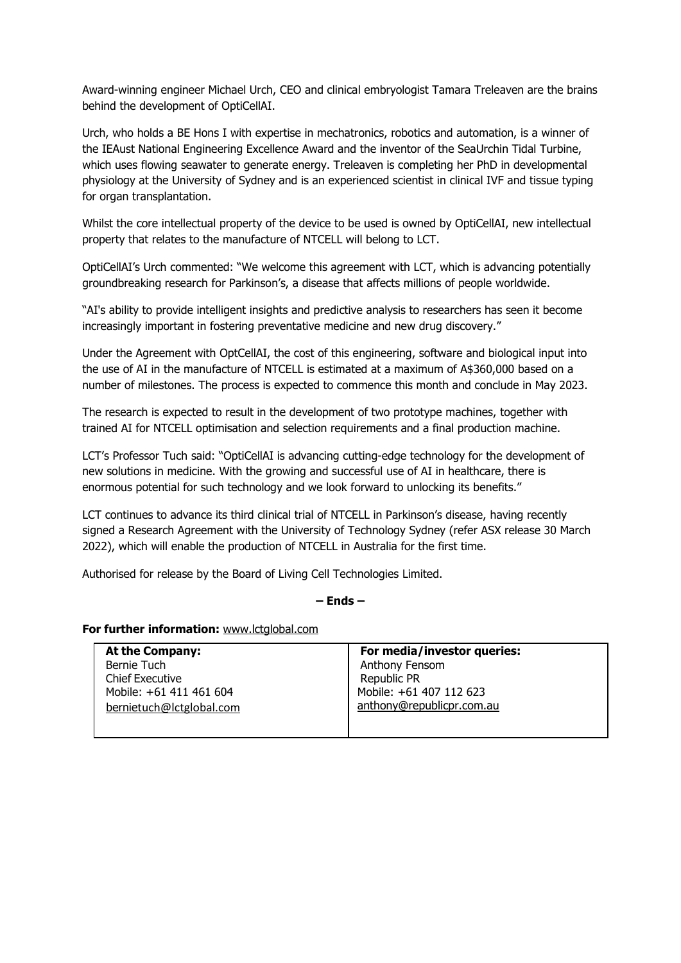Award-winning engineer Michael Urch, CEO and clinical embryologist Tamara Treleaven are the brains behind the development of OptiCellAI.

Urch, who holds a BE Hons I with expertise in mechatronics, robotics and automation, is a winner of the IEAust National Engineering Excellence Award and the inventor of the SeaUrchin Tidal Turbine, which uses flowing seawater to generate energy. Treleaven is completing her PhD in developmental physiology at the University of Sydney and is an experienced scientist in clinical IVF and tissue typing for organ transplantation.

Whilst the core intellectual property of the device to be used is owned by OptiCellAI, new intellectual property that relates to the manufacture of NTCELL will belong to LCT.

OptiCellAI's Urch commented: "We welcome this agreement with LCT, which is advancing potentially groundbreaking research for Parkinson's, a disease that affects millions of people worldwide.

"AI's ability to provide intelligent insights and predictive analysis to researchers has seen it become increasingly important in fostering preventative medicine and new drug discovery."

Under the Agreement with OptCellAI, the cost of this engineering, software and biological input into the use of AI in the manufacture of NTCELL is estimated at a maximum of A\$360,000 based on a number of milestones. The process is expected to commence this month and conclude in May 2023.

The research is expected to result in the development of two prototype machines, together with trained AI for NTCELL optimisation and selection requirements and a final production machine.

LCT's Professor Tuch said: "OptiCellAI is advancing cutting-edge technology for the development of new solutions in medicine. With the growing and successful use of AI in healthcare, there is enormous potential for such technology and we look forward to unlocking its benefits."

LCT continues to advance its third clinical trial of NTCELL in Parkinson's disease, having recently signed a Research Agreement with the University of Technology Sydney (refer ASX release 30 March 2022), which will enable the production of NTCELL in Australia for the first time.

Authorised for release by the Board of Living Cell Technologies Limited.

#### **– Ends –**

#### **For further information:** [www.lctglobal.com](http://www.lctglobal.com/)

| <b>At the Company:</b>   | For media/investor queries: |
|--------------------------|-----------------------------|
| Bernie Tuch              | Anthony Fensom              |
| <b>Chief Executive</b>   | Republic PR                 |
| Mobile: +61 411 461 604  | Mobile: +61 407 112 623     |
| bernietuch@lctglobal.com | anthony@republicpr.com.au   |
|                          |                             |
|                          |                             |